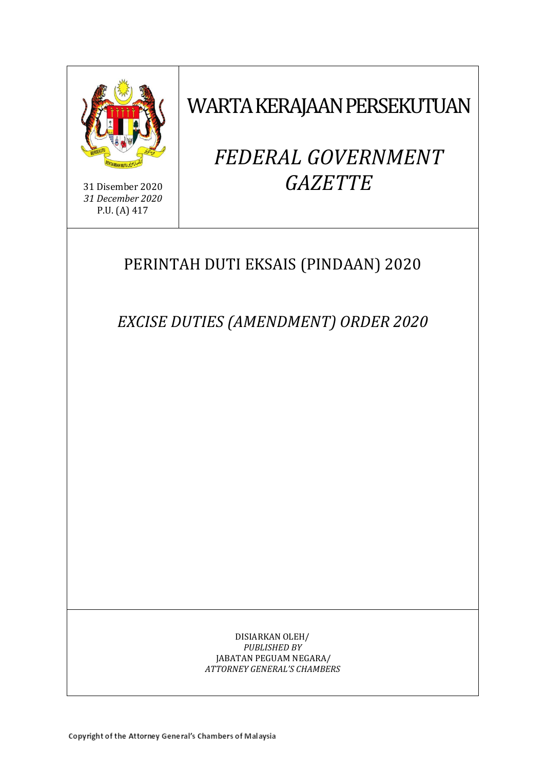

31 Disember 2020 *31 December 2020* P.U. (A) 417

WARTA KERAJAAN PERSEKUTUAN

# *FEDERAL GOVERNMENT GAZETTE*

# PERINTAH DUTI EKSAIS (PINDAAN) 2020

*EXCISE DUTIES (AMENDMENT) ORDER 2020*

DISIARKAN OLEH/ *PUBLISHED BY* JABATAN PEGUAM NEGARA/ *ATTORNEY GENERAL'S CHAMBERS*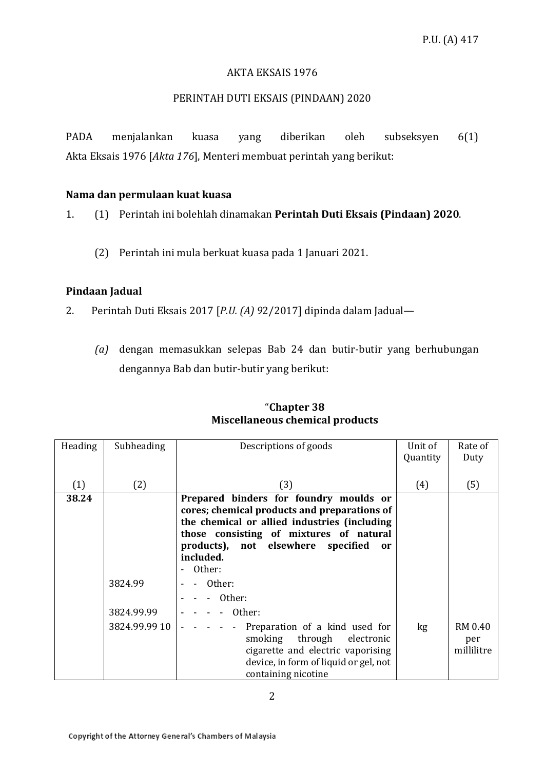#### AKTA EKSAIS 1976

#### PERINTAH DUTI EKSAIS (PINDAAN) 2020

PADA menjalankan kuasa yang diberikan oleh subseksyen 6(1) Akta Eksais 1976 [*Akta 176*], Menteri membuat perintah yang berikut:

#### **Nama dan permulaan kuat kuasa**

1. (1) Perintah ini bolehlah dinamakan **Perintah Duti Eksais (Pindaan) 2020**.

(2) Perintah ini mula berkuat kuasa pada 1 Januari 2021.

# **Pindaan Jadual**

- 2. Perintah Duti Eksais 2017 [*P.U. (A) 9*2/2017] dipinda dalam Jadual—
	- *(a)* dengan memasukkan selepas Bab 24 dan butir-butir yang berhubungan dengannya Bab dan butir-butir yang berikut:

| Heading | Subheading    | Descriptions of goods                               | Unit of  | Rate of    |
|---------|---------------|-----------------------------------------------------|----------|------------|
|         |               |                                                     | Quantity | Duty       |
|         |               |                                                     |          |            |
| (1)     | (2)           | (3)                                                 | (4)      | (5)        |
| 38.24   |               | Prepared binders for foundry moulds or              |          |            |
|         |               | cores; chemical products and preparations of        |          |            |
|         |               | the chemical or allied industries (including        |          |            |
|         |               | those consisting of mixtures of natural             |          |            |
|         |               | products), not elsewhere specified<br><sub>or</sub> |          |            |
|         |               | included.                                           |          |            |
|         |               | Other:<br>$\sim$                                    |          |            |
|         |               |                                                     |          |            |
|         | 3824.99       | Other:                                              |          |            |
|         |               | Other:                                              |          |            |
|         | 3824.99.99    | - Other:                                            |          |            |
|         | 3824.99.99 10 | Preparation of a kind used for                      | kg       | RM 0.40    |
|         |               | smoking through electronic                          |          | per        |
|         |               | cigarette and electric vaporising                   |          | millilitre |
|         |               | device, in form of liquid or gel, not               |          |            |
|         |               | containing nicotine                                 |          |            |
|         |               |                                                     |          |            |

# "**Chapter 38 Miscellaneous chemical products**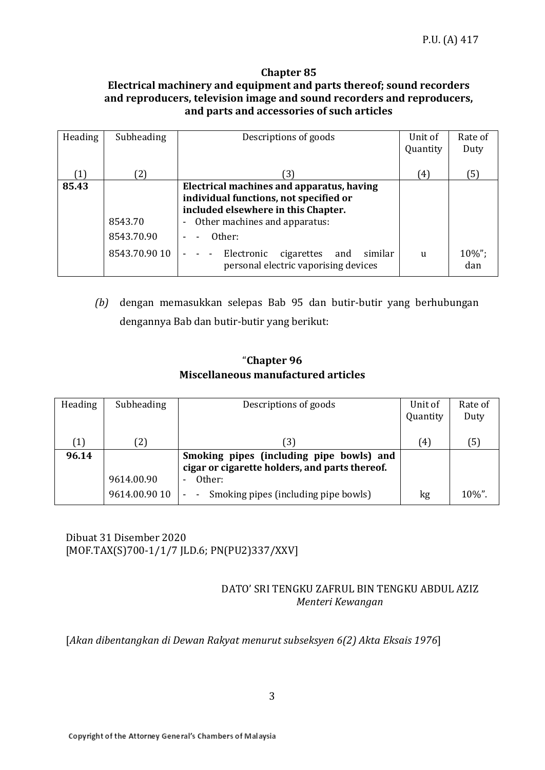#### **Chapter 85 Electrical machinery and equipment and parts thereof; sound recorders and reproducers, television image and sound recorders and reproducers, and parts and accessories of such articles**

| Heading | Subheading                             | Descriptions of goods                                                                                                                                                                                                                                                                   | Unit of<br>Quantity | Rate of<br>Duty |
|---------|----------------------------------------|-----------------------------------------------------------------------------------------------------------------------------------------------------------------------------------------------------------------------------------------------------------------------------------------|---------------------|-----------------|
| (1)     | 〔2〕                                    | З.                                                                                                                                                                                                                                                                                      | (4)                 | (5)             |
| 85.43   | 8543.70<br>8543.70.90<br>8543.70.90 10 | Electrical machines and apparatus, having<br>individual functions, not specified or<br>included elsewhere in this Chapter.<br>Other machines and apparatus:<br>$\overline{\phantom{a}}$<br>Other:<br>Electronic<br>similar<br>cigarettes<br>and<br>personal electric vaporising devices | $\mathbf{u}$        | 10%";<br>dan    |

*(b)* dengan memasukkan selepas Bab 95 dan butir-butir yang berhubungan dengannya Bab dan butir-butir yang berikut:

# "**Chapter 96 Miscellaneous manufactured articles**

| Heading           | Subheading    | Descriptions of goods                          | Unit of  | Rate of   |
|-------------------|---------------|------------------------------------------------|----------|-----------|
|                   |               |                                                | Quantity | Duty      |
|                   |               |                                                |          |           |
| $\left( 1\right)$ | (2)           | (3)                                            | (4)      | (5)       |
| 96.14             |               | Smoking pipes (including pipe bowls) and       |          |           |
|                   |               | cigar or cigarette holders, and parts thereof. |          |           |
|                   | 9614.00.90    | Other:                                         |          |           |
|                   | 9614.00.90 10 | Smoking pipes (including pipe bowls)           | kg       | $10\%$ ". |

Dibuat 31 Disember 2020 [MOF.TAX(S)700-1/1/7 JLD.6; PN(PU2)337/XXV]

# DATO' SRI TENGKU ZAFRUL BIN TENGKU ABDUL AZIZ *Menteri Kewangan*

[*Akan dibentangkan di Dewan Rakyat menurut subseksyen 6(2) Akta Eksais 1976*]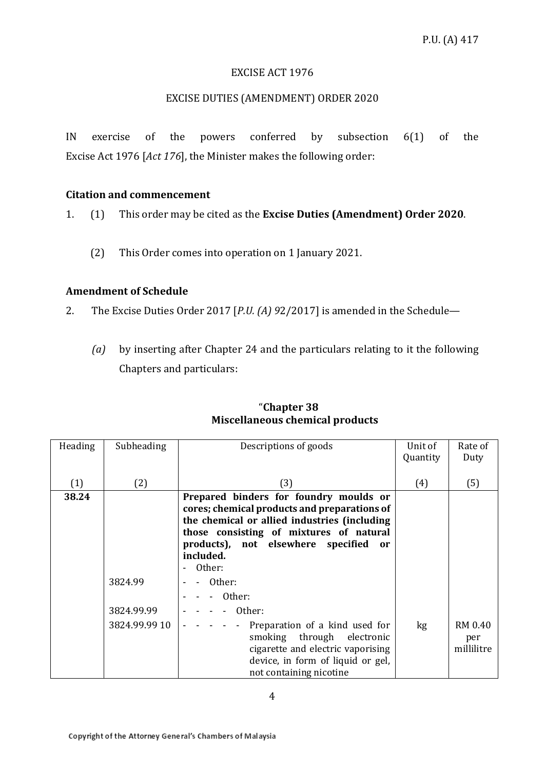#### EXCISE ACT 1976

#### EXCISE DUTIES (AMENDMENT) ORDER 2020

IN exercise of the powers conferred by subsection 6(1) of the Excise Act 1976 [*Act 176*], the Minister makes the following order:

#### **Citation and commencement**

1. (1) This order may be cited as the **Excise Duties (Amendment) Order 2020**.

(2) This Order comes into operation on 1 January 2021.

#### **Amendment of Schedule**

2. The Excise Duties Order 2017 [*P.U. (A) 9*2/2017] is amended in the Schedule—

*(a)* by inserting after Chapter 24 and the particulars relating to it the following Chapters and particulars:

| Heading | Subheading            | Descriptions of goods                                                                                                                                                                                                                                | Unit of  | Rate of                      |
|---------|-----------------------|------------------------------------------------------------------------------------------------------------------------------------------------------------------------------------------------------------------------------------------------------|----------|------------------------------|
|         |                       |                                                                                                                                                                                                                                                      | Quantity | Duty                         |
| (1)     | (2)                   | (3)                                                                                                                                                                                                                                                  | (4)      | (5)                          |
| 38.24   |                       | Prepared binders for foundry moulds or<br>cores; chemical products and preparations of<br>the chemical or allied industries (including<br>those consisting of mixtures of natural<br>products), not elsewhere specified<br>or<br>included.<br>Other: |          |                              |
|         | 3824.99<br>3824.99.99 | Other:<br>Other:<br>Other:                                                                                                                                                                                                                           |          |                              |
|         | 3824.99.99 10         | Preparation of a kind used for<br>smoking through electronic<br>cigarette and electric vaporising<br>device, in form of liquid or gel,<br>not containing nicotine                                                                                    | kg       | RM 0.40<br>per<br>millilitre |

# "**Chapter 38 Miscellaneous chemical products**